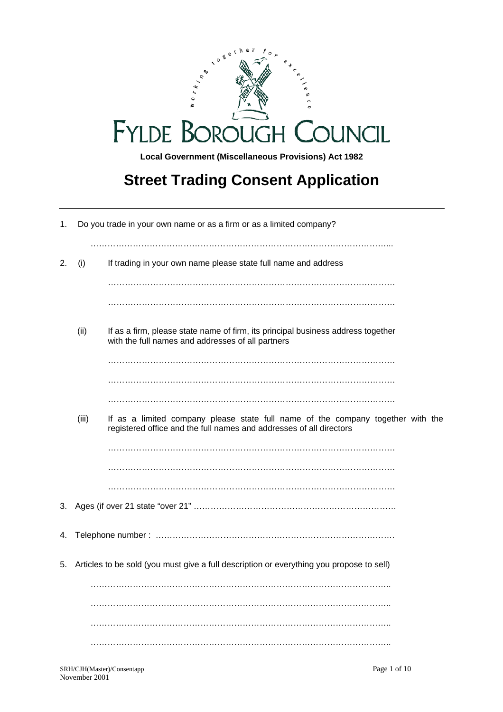

# **Street Trading Consent Application**

| Do you trade in your own name or as a firm or as a limited company?<br>1. |       |                                                                                                                                                        |
|---------------------------------------------------------------------------|-------|--------------------------------------------------------------------------------------------------------------------------------------------------------|
| 2.                                                                        | (i)   | If trading in your own name please state full name and address                                                                                         |
|                                                                           |       |                                                                                                                                                        |
|                                                                           |       |                                                                                                                                                        |
|                                                                           | (ii)  | If as a firm, please state name of firm, its principal business address together<br>with the full names and addresses of all partners                  |
|                                                                           |       |                                                                                                                                                        |
|                                                                           |       |                                                                                                                                                        |
|                                                                           |       |                                                                                                                                                        |
|                                                                           | (iii) | If as a limited company please state full name of the company together with the<br>registered office and the full names and addresses of all directors |
|                                                                           |       |                                                                                                                                                        |
|                                                                           |       |                                                                                                                                                        |
|                                                                           |       |                                                                                                                                                        |
| 3.                                                                        |       |                                                                                                                                                        |
| 4.                                                                        |       |                                                                                                                                                        |
| 5.                                                                        |       | Articles to be sold (you must give a full description or everything you propose to sell)                                                               |
|                                                                           |       |                                                                                                                                                        |
|                                                                           |       |                                                                                                                                                        |
|                                                                           |       |                                                                                                                                                        |
|                                                                           |       |                                                                                                                                                        |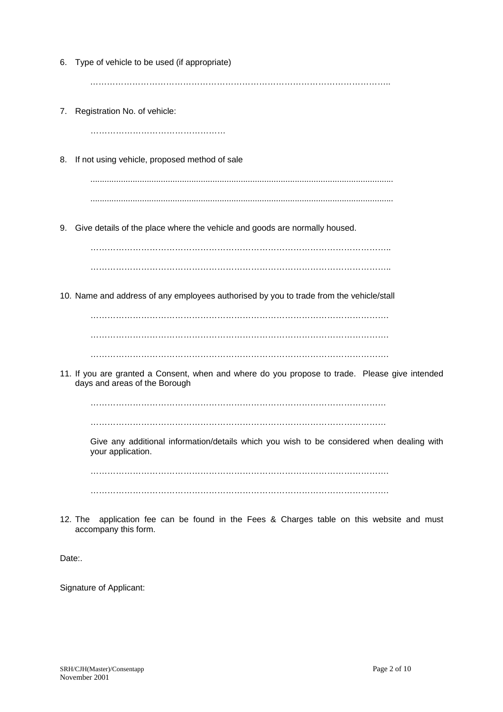| 6. | Type of vehicle to be used (if appropriate)                                                                                     |  |  |
|----|---------------------------------------------------------------------------------------------------------------------------------|--|--|
|    |                                                                                                                                 |  |  |
| 7. | Registration No. of vehicle:                                                                                                    |  |  |
|    |                                                                                                                                 |  |  |
| 8. | If not using vehicle, proposed method of sale                                                                                   |  |  |
|    |                                                                                                                                 |  |  |
|    |                                                                                                                                 |  |  |
| 9. | Give details of the place where the vehicle and goods are normally housed.                                                      |  |  |
|    |                                                                                                                                 |  |  |
|    |                                                                                                                                 |  |  |
|    | 10. Name and address of any employees authorised by you to trade from the vehicle/stall                                         |  |  |
|    |                                                                                                                                 |  |  |
|    |                                                                                                                                 |  |  |
|    | 11. If you are granted a Consent, when and where do you propose to trade. Please give intended<br>days and areas of the Borough |  |  |
|    |                                                                                                                                 |  |  |
|    |                                                                                                                                 |  |  |
|    | Give any additional information/details which you wish to be considered when dealing with<br>your application.                  |  |  |
|    |                                                                                                                                 |  |  |
|    |                                                                                                                                 |  |  |
|    | application fee can be found in the Fees & Charges table on this website and must<br>12. The<br>accompany this form.            |  |  |

Date:

Signature of Applicant: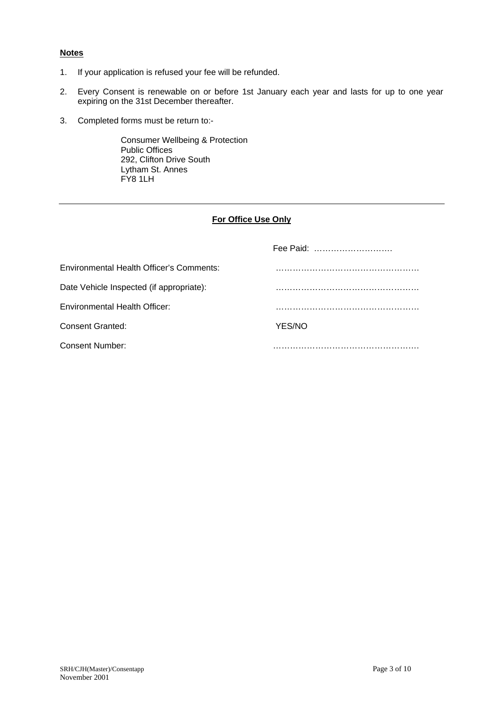### **Notes**

- 1. If your application is refused your fee will be refunded.
- 2. Every Consent is renewable on or before 1st January each year and lasts for up to one year expiring on the 31st December thereafter.
- 3. Completed forms must be return to:-

Consumer Wellbeing & Protection Public Offices 292, Clifton Drive South Lytham St. Annes FY8 1LH

## **For Office Use Only**

|                                          | Fee Paid: |
|------------------------------------------|-----------|
| Environmental Health Officer's Comments: |           |
| Date Vehicle Inspected (if appropriate): |           |
| <b>Environmental Health Officer:</b>     |           |
| Consent Granted:                         | YES/NO    |
| Consent Number:                          |           |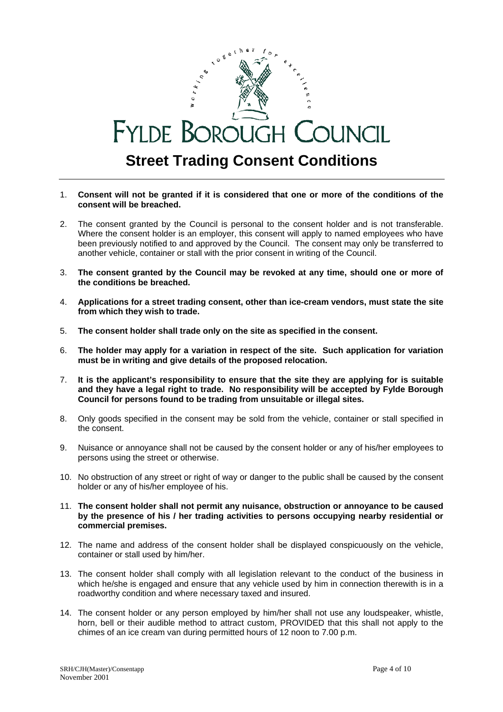# $W$  or  $F_{k}$ **FYLDE BOROUGH COUNCIL Street Trading Consent Conditions**

- 1. **Consent will not be granted if it is considered that one or more of the conditions of the consent will be breached.**
- 2. The consent granted by the Council is personal to the consent holder and is not transferable. Where the consent holder is an employer, this consent will apply to named employees who have been previously notified to and approved by the Council. The consent may only be transferred to another vehicle, container or stall with the prior consent in writing of the Council.
- 3. **The consent granted by the Council may be revoked at any time, should one or more of the conditions be breached.**
- 4. **Applications for a street trading consent, other than ice-cream vendors, must state the site from which they wish to trade.**
- 5. **The consent holder shall trade only on the site as specified in the consent.**
- 6. **The holder may apply for a variation in respect of the site. Such application for variation must be in writing and give details of the proposed relocation.**
- 7. **It is the applicant's responsibility to ensure that the site they are applying for is suitable and they have a legal right to trade. No responsibility will be accepted by Fylde Borough Council for persons found to be trading from unsuitable or illegal sites.**
- 8. Only goods specified in the consent may be sold from the vehicle, container or stall specified in the consent.
- 9. Nuisance or annoyance shall not be caused by the consent holder or any of his/her employees to persons using the street or otherwise.
- 10. No obstruction of any street or right of way or danger to the public shall be caused by the consent holder or any of his/her employee of his.
- 11. **The consent holder shall not permit any nuisance, obstruction or annoyance to be caused by the presence of his / her trading activities to persons occupying nearby residential or commercial premises.**
- 12. The name and address of the consent holder shall be displayed conspicuously on the vehicle, container or stall used by him/her.
- 13. The consent holder shall comply with all legislation relevant to the conduct of the business in which he/she is engaged and ensure that any vehicle used by him in connection therewith is in a roadworthy condition and where necessary taxed and insured.
- 14. The consent holder or any person employed by him/her shall not use any loudspeaker, whistle, horn, bell or their audible method to attract custom, PROVIDED that this shall not apply to the chimes of an ice cream van during permitted hours of 12 noon to 7.00 p.m.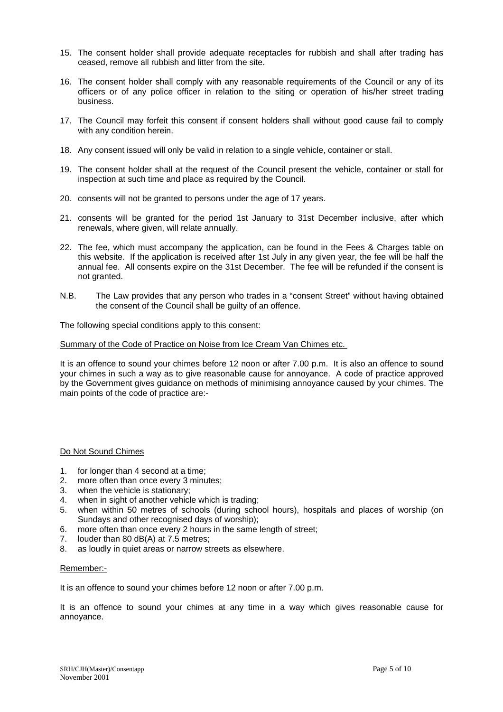- 15. The consent holder shall provide adequate receptacles for rubbish and shall after trading has ceased, remove all rubbish and litter from the site.
- 16. The consent holder shall comply with any reasonable requirements of the Council or any of its officers or of any police officer in relation to the siting or operation of his/her street trading business.
- 17. The Council may forfeit this consent if consent holders shall without good cause fail to comply with any condition herein.
- 18. Any consent issued will only be valid in relation to a single vehicle, container or stall.
- 19. The consent holder shall at the request of the Council present the vehicle, container or stall for inspection at such time and place as required by the Council.
- 20. consents will not be granted to persons under the age of 17 years.
- 21. consents will be granted for the period 1st January to 31st December inclusive, after which renewals, where given, will relate annually.
- 22. The fee, which must accompany the application, can be found in the Fees & Charges table on this website. If the application is received after 1st July in any given year, the fee will be half the annual fee. All consents expire on the 31st December. The fee will be refunded if the consent is not granted.
- N.B. The Law provides that any person who trades in a "consent Street" without having obtained the consent of the Council shall be guilty of an offence.

The following special conditions apply to this consent:

Summary of the Code of Practice on Noise from Ice Cream Van Chimes etc.

It is an offence to sound your chimes before 12 noon or after 7.00 p.m. It is also an offence to sound your chimes in such a way as to give reasonable cause for annoyance. A code of practice approved by the Government gives guidance on methods of minimising annoyance caused by your chimes. The main points of the code of practice are:-

#### Do Not Sound Chimes

- 1. for longer than 4 second at a time;
- 2. more often than once every 3 minutes;
- 3. when the vehicle is stationary;
- 4. when in sight of another vehicle which is trading;
- 5. when within 50 metres of schools (during school hours), hospitals and places of worship (on Sundays and other recognised days of worship);
- 6. more often than once every 2 hours in the same length of street;
- 7. louder than 80 dB(A) at 7.5 metres;
- 8. as loudly in quiet areas or narrow streets as elsewhere.

#### Remember:-

It is an offence to sound your chimes before 12 noon or after 7.00 p.m.

It is an offence to sound your chimes at any time in a way which gives reasonable cause for annoyance.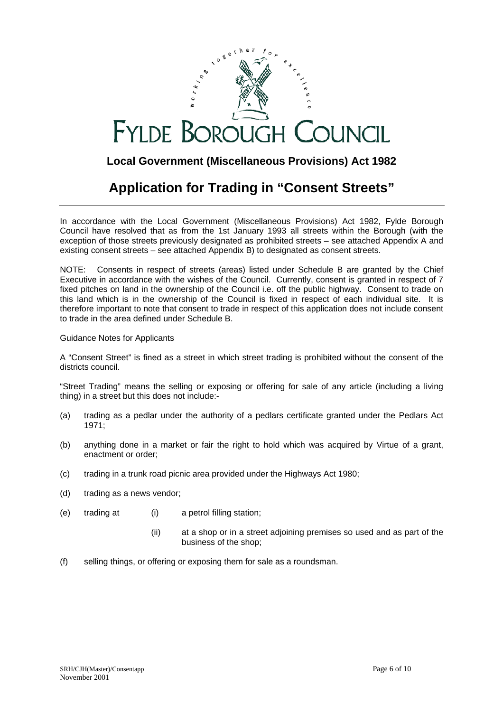# **FYLDE BOROUGH** COUNCIL

## **Local Government (Miscellaneous Provisions) Act 1982**

# **Application for Trading in "Consent Streets"**

In accordance with the Local Government (Miscellaneous Provisions) Act 1982, Fylde Borough Council have resolved that as from the 1st January 1993 all streets within the Borough (with the exception of those streets previously designated as prohibited streets – see attached Appendix A and existing consent streets – see attached Appendix B) to designated as consent streets.

NOTE: Consents in respect of streets (areas) listed under Schedule B are granted by the Chief Executive in accordance with the wishes of the Council. Currently, consent is granted in respect of 7 fixed pitches on land in the ownership of the Council i.e. off the public highway. Consent to trade on this land which is in the ownership of the Council is fixed in respect of each individual site. It is therefore important to note that consent to trade in respect of this application does not include consent to trade in the area defined under Schedule B.

### Guidance Notes for Applicants

A "Consent Street" is fined as a street in which street trading is prohibited without the consent of the districts council.

"Street Trading" means the selling or exposing or offering for sale of any article (including a living thing) in a street but this does not include:-

- (a) trading as a pedlar under the authority of a pedlars certificate granted under the Pedlars Act 1971;
- (b) anything done in a market or fair the right to hold which was acquired by Virtue of a grant, enactment or order;
- (c) trading in a trunk road picnic area provided under the Highways Act 1980;
- (d) trading as a news vendor;
- (e) trading at (i) a petrol filling station;
	- (ii) at a shop or in a street adjoining premises so used and as part of the business of the shop;
- (f) selling things, or offering or exposing them for sale as a roundsman.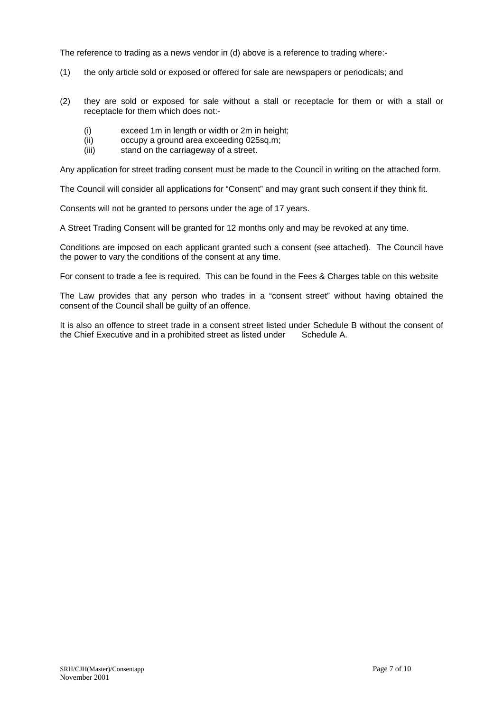The reference to trading as a news vendor in (d) above is a reference to trading where:-

- (1) the only article sold or exposed or offered for sale are newspapers or periodicals; and
- (2) they are sold or exposed for sale without a stall or receptacle for them or with a stall or receptacle for them which does not:-
	- (i) exceed 1m in length or width or 2m in height;
	- (ii) occupy a ground area exceeding 025sq.m;
	- (iii) stand on the carriageway of a street.

Any application for street trading consent must be made to the Council in writing on the attached form.

The Council will consider all applications for "Consent" and may grant such consent if they think fit.

Consents will not be granted to persons under the age of 17 years.

A Street Trading Consent will be granted for 12 months only and may be revoked at any time.

Conditions are imposed on each applicant granted such a consent (see attached). The Council have the power to vary the conditions of the consent at any time.

For consent to trade a fee is required. This can be found in the Fees & Charges table on this website

The Law provides that any person who trades in a "consent street" without having obtained the consent of the Council shall be guilty of an offence.

It is also an offence to street trade in a consent street listed under Schedule B without the consent of the Chief Executive and in a prohibited street as listed under Schedule A.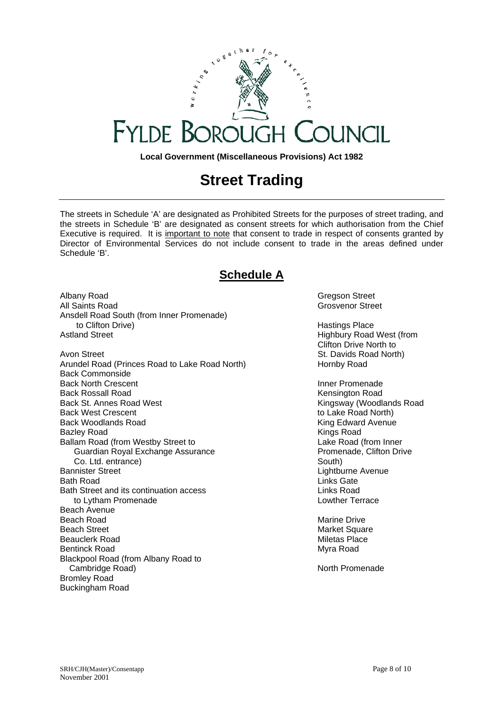

**Local Government (Miscellaneous Provisions) Act 1982**

# **Street Trading**

The streets in Schedule 'A' are designated as Prohibited Streets for the purposes of street trading, and the streets in Schedule 'B' are designated as consent streets for which authorisation from the Chief Executive is required. It is important to note that consent to trade in respect of consents granted by Director of Environmental Services do not include consent to trade in the areas defined under Schedule 'B'.

## **Schedule A**

Albany Road Gregson Street All Saints Road **Grosvenor Street** Grosvenor Street Ansdell Road South (from Inner Promenade) to Clifton Drive) **Hastings Place Hastings Place** Astland Street **Highbury Road West (from** Avon Street **St. Davids Road North**) **St. Davids Road North** Arundel Road (Princes Road to Lake Road North) Hornby Road Back Commonside Back North Crescent **Inner Promenade** Inner Promenade Back Rossall Road<br>Back St. Annes Road West **New York Contract Contract Contract Contract Contract Contract Contract Contract Contr** Back West Crescent to Lake Road North) Back Woodlands Road King Edward Avenue Bazley Road **Kings Road Kings Road Kings Road Kings Road** Ballam Road (from Westby Street to Lake Road (from Inner Cuardian Royal Exchange Assurance Cuardian Royal Exchange Assurance Guardian Royal Exchange Assurance Co. Ltd. entrance) South) Bannister Street **Lightburne** Avenue Lightburne Avenue Bath Road Links Gate Bath Street and its continuation access **Links Road** Links Road to Lytham Promenade **Lowtham Promenade Lowther Terrace** Beach Avenue Beach Road Marine Drive Beach Street Market Square Beauclerk Road Nietas Place New York 1999 and Miletas Place Bentinck Road Myra Road Myra Road Myra Road Myra Road Myra Road Myra Road Myra Road Myra Road Myra Road Myra Road Myra Road Myra Road Myra Road Myra Road Myra Road Myra Road Myra Road Myra Road Myra Road Myra Road Myra Roa Blackpool Road (from Albany Road to Cambridge Road) and Cambridge Road and Cambridge Road and Cambridge Road and Cambridge Road and Cambridge Road Bromley Road Buckingham Road

Clifton Drive North to

Kingsway (Woodlands Road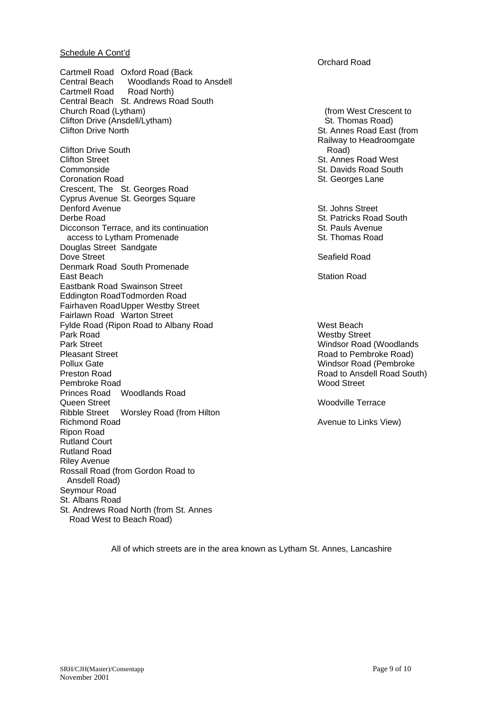#### Schedule A Cont'd

Cartmell Road Oxford Road (Back<br>Central Beach Woodlands Road Woodlands Road to Ansdell Cartmell Road Road North) Central Beach St. Andrews Road South Church Road (Lytham) (from West Crescent to Clifton Drive (Ansdell/Lytham) St. Thomas Road) Clifton Drive North St. Annes Road East (from

Clifton Drive South Road) Clifton Street **St. Annes Road West** Commonside **St. Davids Road South Commonside**<br>
St. Davids Road South Coronation Road **St. Secure St. Secure St. Georges** Lane Crescent, The St. Georges Road Cyprus Avenue St. Georges Square **Denford Avenue** St. Johns Street **Derbe Road St. Patricks Road South St. Patricks Road South St. Patricks Road South St. Patricks Road South Interventional St. Patricks Road South Interventional St. Patricks Road South Interventional St. Patricks Road Sou** Dicconson Terrace, and its continuation St. Pauls Avenue access to Lytham Promenade **St. Thomas Road** St. Thomas Road Douglas Street Sandgate<br>Dove Street Denmark Road South Promenade East Beach Station Road Station Road Station Road Station Road Station Road Station Road Station Road Station Road Station Road Station Road Station Road Station Road Station Road Station Road Station Road Station Road Sta Eastbank Road Swainson Street Eddington RoadTodmorden Road Fairhaven RoadUpper Westby Street Fairlawn Road Warton Street Fylde Road (Ripon Road to Albany Road West Beach Park Road **Westby Street** Park Street **Park Street** Windsor Road (Woodlands Pleasant Street **Road to Pembroke Road** to Pembroke Road to Pembroke Road to Pembroke Road to Pembroke Road to Pembroke Road to Pembroke Road to Pembroke Road to Pembroke Road to Pembroke Road to Pembroke Road to Pembroke Pollux Gate **Windsor Road (Pembroke** Windsor Road (Pembroke Preston Road **Road Communist Communist Communist Communist Communist Communist Communist Communist Communist Communist Communist Communist Communist Communist Communist Communist Communist Communist Communist Communist Com** Pembroke Road Princes Road Woodlands Road<br>Queen Street Ribble Street Worsley Road (from Hilton Richmond Road **Avenue to Links View**) **Avenue to Links View** Ripon Road Rutland Court Rutland Road Riley Avenue Rossall Road (from Gordon Road to Ansdell Road) Seymour Road St. Albans Road St. Andrews Road North (from St. Annes Road West to Beach Road)

Orchard Road

 Railway to Headroomgate St. Georges Lane

Seafield Road

Woodville Terrace

All of which streets are in the area known as Lytham St. Annes, Lancashire